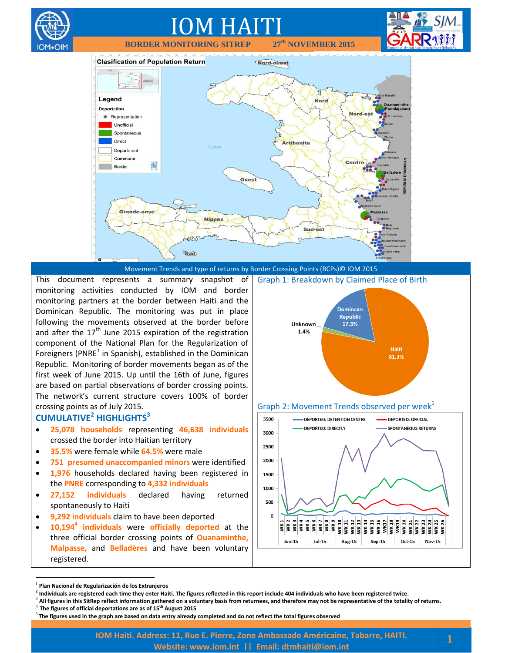

Movement Trends and type of returns by Border Crossing Points (BCPs)© IOM 2015

This document represents a summary snapshot of monitoring activities conducted by IOM and border monitoring partners at the border between Haiti and the Dominican Republic. The monitoring was put in place following the movements observed at the border before and after the  $17<sup>th</sup>$  June 2015 expiration of the registration component of the National Plan for the Regularization of Foreigners (PNRE<sup>1</sup> in Spanish), established in the Dominican Republic. Monitoring of border movements began as of the first week of June 2015. Up until the 16th of June, figures are based on partial observations of border crossing points. The network's current structure covers 100% of border crossing points as of July 2015.

#### **CUMULATIVE<sup>2</sup> HIGHLIGHTS<sup>3</sup>**

∩M∙OlM

- **25,078 households** representing **46,638 individuals** crossed the border into Haitian territory
- **35.5%** were female while **64.5%** were male
- **751 presumed unaccompanied minors** were identified
- **1,976** households declared having been registered in the **PNRE** corresponding to **4,332 individuals**
- **27,152 individuals** declared having returned spontaneously to Haiti
- **9,292 individuals** claim to have been deported
- **10,194<sup>4</sup> individuals** were **officially deported** at the three official border crossing points of **Ouanaminthe, Malpasse,** and **Belladères** and have been voluntary registered.





 $\overline{a}$ 

- 3 **All figures in this SitRep reflect information gathered on a voluntary basis from returnees, and therefore may not be representative of the totality of returns.**
- 4 **The figures of official deportations are as of 15th August 2015**

**<sup>1</sup> Plan Nacional de Regularización de los Extranjeros**

**<sup>2</sup> Individuals are registered each time they enter Haiti. The figures reflected in this report include 404 individuals who have been registered twice.**

<sup>5</sup> **The figures used in the graph are based on data entry already completed and do not reflect the total figures observed**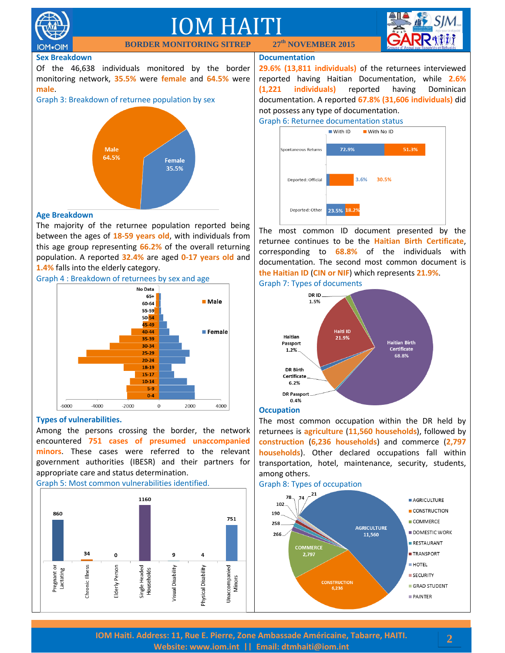

**IOM**.OIM

### IOM HAITI **th NOVEMBER 2015**



#### **Sex Breakdown**

Of the 46,638 individuals monitored by the border monitoring network, **35.5%** were **female** and **64.5%** were **male**.

**BORDER MONIT** 





#### **Age Breakdown**

The majority of the returnee population reported being between the ages of **18-59 years old**, with individuals from this age group representing **66.2%** of the overall returning population. A reported **32.4%** are aged **0-17 years old** and **1.4%** falls into the elderly category.



#### **Types of vulnerabilities.**

Among the persons crossing the border, the network encountered **751 cases of presumed unaccompanied minors**. These cases were referred to the relevant government authorities (IBESR) and their partners for appropriate care and status determination.

Graph 5: Most common vulnerabilities identified.



#### **Documentation**

**29.6% (13,811 individuals)** of the returnees interviewed reported having Haitian Documentation, while **2.6% (1,221 individuals)** reported having Dominican documentation. A reported **67.8% (31,606 individuals)** did not possess any type of documentation.





The most common ID document presented by the returnee continues to be the **Haitian Birth Certificate**, corresponding to **68.8%** of the individuals with documentation. The second most common document is **the Haitian ID** (**CIN or NIF**) which represents **21.9%**.





#### **Occupation**

The most common occupation within the DR held by returnees is **agriculture** (**11,560 households**), followed by **construction** (**6,236 households**) and commerce (**2,797 households**). Other declared occupations fall within transportation, hotel, maintenance, security, students, among others.



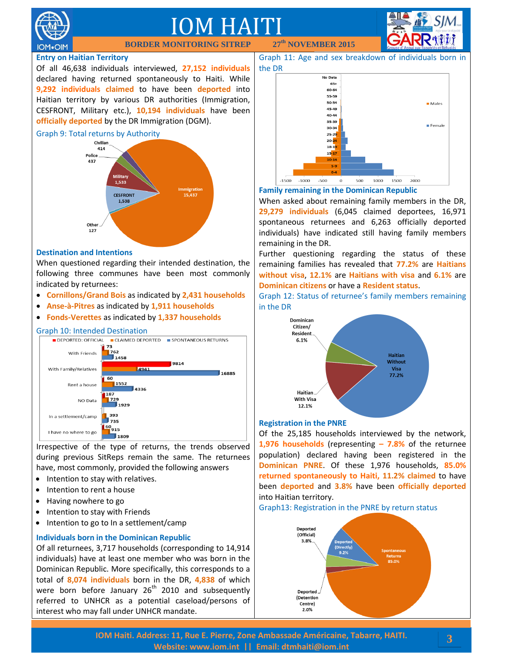

## IOM HAITI

**BORDER MONIT** 

#### **Entry on Haitian Territory**

Of all 46,638 individuals interviewed, **27,152 individuals** declared having returned spontaneously to Haiti. While **9,292 individuals claimed** to have been **deported** into Haitian territory by various DR authorities (Immigration, CESFRONT, Military etc.), **10,194 individuals** have been **officially deported** by the DR Immigration (DGM).

#### Graph 9: Total returns by Authority



#### **Destination and Intentions**

When questioned regarding their intended destination, the following three communes have been most commonly indicated by returnees:

- **Cornillons/Grand Bois** as indicated by **2,431 households**
- **Anse-à-Pitres** as indicated by **1,911 households**
- **Fonds-Verettes** as indicated by **1,337 households**



Irrespective of the type of returns, the trends observed during previous SitReps remain the same. The returnees have, most commonly, provided the following answers

- Intention to stay with relatives.
- Intention to rent a house
- Having nowhere to go
- Intention to stay with Friends
- $\bullet$  Intention to go to In a settlement/camp

#### **Individuals born in the Dominican Republic**

Of all returnees, 3,717 households (corresponding to 14,914 individuals) have at least one member who was born in the Dominican Republic. More specifically, this corresponds to a total of **8,074 individuals** born in the DR, **4,838** of which were born before January  $26<sup>th</sup>$  2010 and subsequently referred to UNHCR as a potential caseload/persons of interest who may fall under UNHCR mandate.

**th NOVEMBER 2015**





#### **Family remaining in the Dominican Republic**

When asked about remaining family members in the DR, **29,279 individuals** (6,045 claimed deportees, 16,971 spontaneous returnees and 6,263 officially deported individuals) have indicated still having family members remaining in the DR.

Further questioning regarding the status of these remaining families has revealed that **77.2%** are **Haitians without visa**, **12.1%** are **Haitians with visa** and **6.1%** are **Dominican citizens** or have a **Resident status**.

Graph 12: Status of returnee's family members remaining in the DR



#### **Registration in the PNRE**

Of the 25,185 households interviewed by the network, **1,976 households** (representing **– 7.8%** of the returnee population) declared having been registered in the **Dominican PNRE**. Of these 1,976 households, **85.0% returned spontaneously to Haiti, 11.2% claimed** to have been **deported** and **3.8%** have been **officially deported** into Haitian territory.

Graph13: Registration in the PNRE by return status



**3**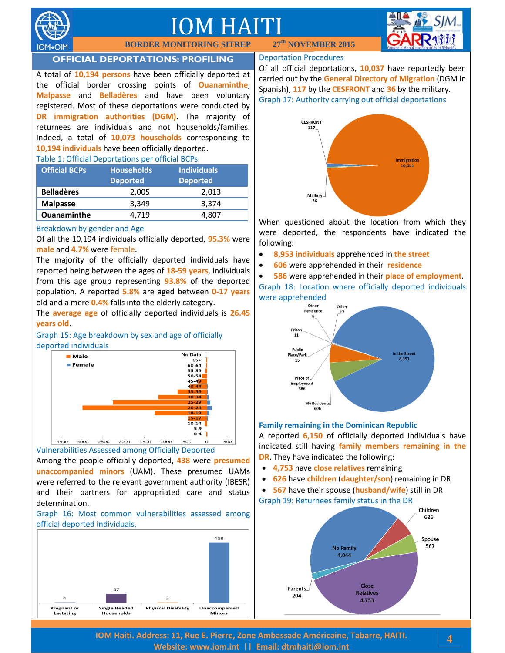

### IOM HAITI

**BORDER MONITORING SITREP 27**



### **OFFICIAL DEPORTATIONS: PROFILING**

A total of **10,194 persons** have been officially deported at the official border crossing points of **Ouanaminthe**, **Malpasse** and **Belladères** and have been voluntary registered. Most of these deportations were conducted by **DR immigration authorities (DGM)**. The majority of returnees are individuals and not households/families. Indeed, a total of **10,073 households** corresponding to **10,194 individuals** have been officially deported.

#### Table 1: Official Deportations per official BCPs

| <b>Official BCPs</b> | <b>Households</b><br><b>Deported</b> | <b>Individuals</b><br><b>Deported</b> |
|----------------------|--------------------------------------|---------------------------------------|
| <b>Belladères</b>    | 2,005                                | 2,013                                 |
| <b>Malpasse</b>      | 3.349                                | 3.374                                 |
| <b>Ouanaminthe</b>   | 4.719                                | 4.807                                 |

#### Breakdown by gender and Age

Of all the 10,194 individuals officially deported, **95.3%** were **male** and **4.7%** were female.

The majority of the officially deported individuals have reported being between the ages of **18-59 years**, individuals from this age group representing **93.8%** of the deported population. A reported **5.8%** are aged between **0-17 years** old and a mere **0.4%** falls into the elderly category.

The **average age** of officially deported individuals is **26.45 years old**.

Graph 15: Age breakdown by sex and age of officially deported individuals



Vulnerabilities Assessed among Officially Deported Among the people officially deported, **438** were **presumed** 

**unaccompanied minors** (UAM). These presumed UAMs were referred to the relevant government authority (IBESR) and their partners for appropriated care and status determination.

Graph 16: Most common vulnerabilities assessed among official deported individuals.



#### Deportation Procedures

**th NOVEMBER 2015**

Of all official deportations, **10,037** have reportedly been carried out by the **General Directory of Migration** (DGM in Spanish), **117** by the **CESFRONT** and **36** by the military. Graph 17: Authority carrying out official deportations



When questioned about the location from which they were deported, the respondents have indicated the following:

- **8,953 individuals** apprehended in **the street**
- **606** were apprehended in their **residence**

 **586** were apprehended in their **place of employment**. Graph 18: Location where officially deported individuals were apprehended



#### **Family remaining in the Dominican Republic**

A reported **6,150** of officially deported individuals have indicated still having **family members remaining in the DR**. They have indicated the following:

- **4,753** have **close relatives** remaining
- **626** have **children** (**daughter/son**) remaining in DR
- **567** have their spouse (**husband/wife**) still in DR Graph 19: Returnees family status in the DR



**IOM Haiti. Address: 11, Rue E. Pierre, Zone Ambassade Américaine, Tabarre, HAITI. Website: [www.iom.int](http://www.iom.int/) || Email: [dtmhaiti@iom.int](mailto:dtmhaiti@iom.int?subject=Border%20Monitoring%20info%20request)**